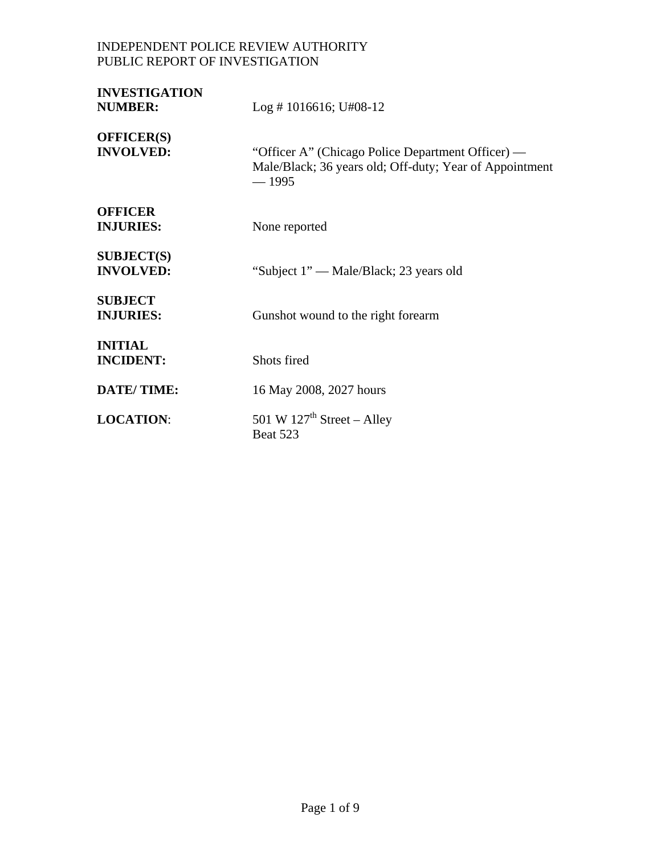# INDEPENDENT POLICE REVIEW AUTHORITY PUBLIC REPORT OF INVESTIGATION

| <b>INVESTIGATION</b><br><b>NUMBER:</b> | $Log # 1016616; U#08-12$                                                                                                |
|----------------------------------------|-------------------------------------------------------------------------------------------------------------------------|
| <b>OFFICER(S)</b><br><b>INVOLVED:</b>  | "Officer A" (Chicago Police Department Officer) —<br>Male/Black; 36 years old; Off-duty; Year of Appointment<br>$-1995$ |
| <b>OFFICER</b><br><b>INJURIES:</b>     | None reported                                                                                                           |
| <b>SUBJECT(S)</b><br><b>INVOLVED:</b>  | "Subject 1" — Male/Black; 23 years old                                                                                  |
| <b>SUBJECT</b><br><b>INJURIES:</b>     | Gunshot wound to the right forearm                                                                                      |
| <b>INITIAL</b><br><b>INCIDENT:</b>     | Shots fired                                                                                                             |
| <b>DATE/TIME:</b>                      | 16 May 2008, 2027 hours                                                                                                 |
| <b>LOCATION:</b>                       | 501 W $127th$ Street – Alley<br>Beat 523                                                                                |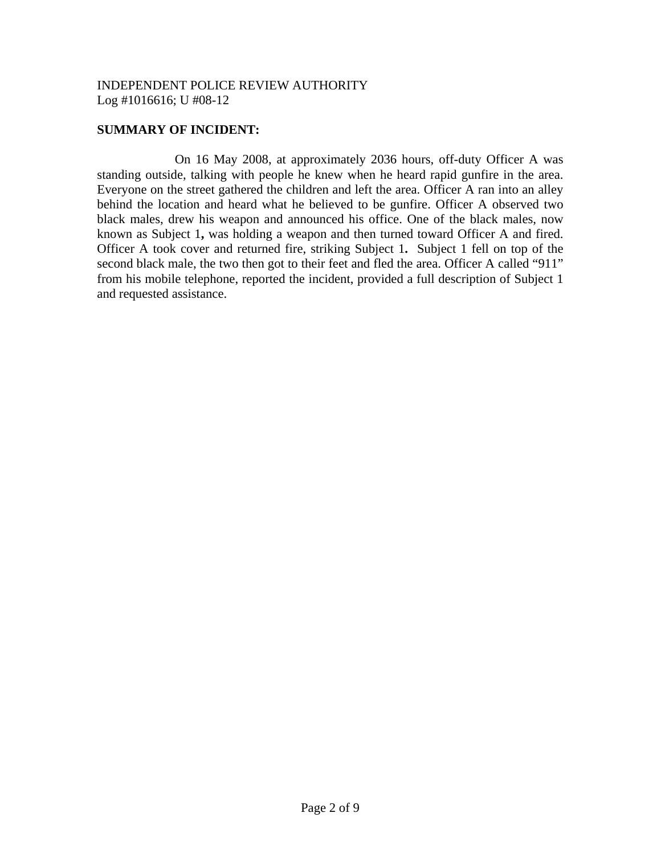### **SUMMARY OF INCIDENT:**

 On 16 May 2008, at approximately 2036 hours, off-duty Officer A was standing outside, talking with people he knew when he heard rapid gunfire in the area. Everyone on the street gathered the children and left the area. Officer A ran into an alley behind the location and heard what he believed to be gunfire. Officer A observed two black males, drew his weapon and announced his office. One of the black males, now known as Subject 1**,** was holding a weapon and then turned toward Officer A and fired. Officer A took cover and returned fire, striking Subject 1**.** Subject 1 fell on top of the second black male, the two then got to their feet and fled the area. Officer A called "911" from his mobile telephone, reported the incident, provided a full description of Subject 1 and requested assistance.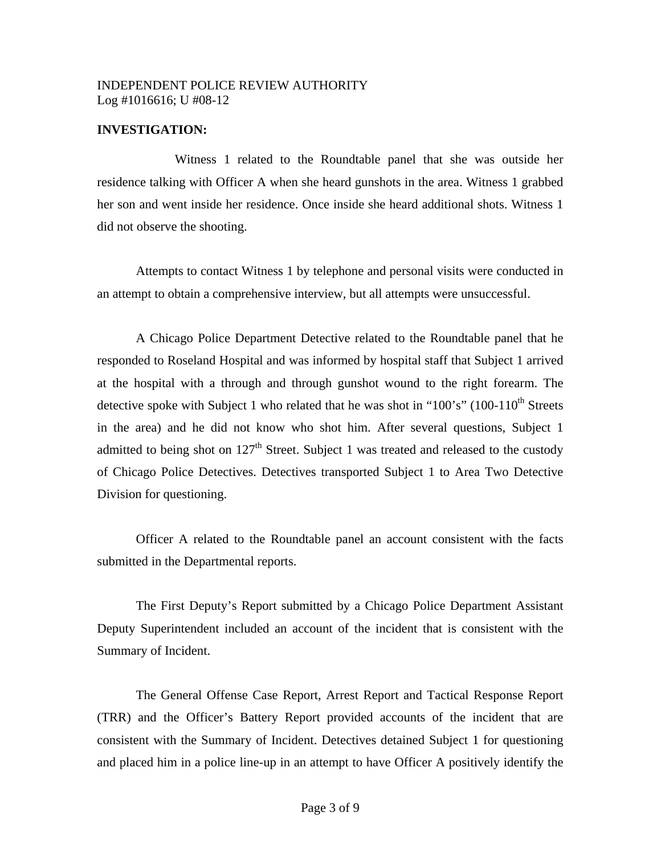#### **INVESTIGATION:**

 Witness 1 related to the Roundtable panel that she was outside her residence talking with Officer A when she heard gunshots in the area. Witness 1 grabbed her son and went inside her residence. Once inside she heard additional shots. Witness 1 did not observe the shooting.

Attempts to contact Witness 1 by telephone and personal visits were conducted in an attempt to obtain a comprehensive interview, but all attempts were unsuccessful.

A Chicago Police Department Detective related to the Roundtable panel that he responded to Roseland Hospital and was informed by hospital staff that Subject 1 arrived at the hospital with a through and through gunshot wound to the right forearm. The detective spoke with Subject 1 who related that he was shot in "100's" (100-110<sup>th</sup> Streets in the area) and he did not know who shot him. After several questions, Subject 1 admitted to being shot on  $127<sup>th</sup>$  Street. Subject 1 was treated and released to the custody of Chicago Police Detectives. Detectives transported Subject 1 to Area Two Detective Division for questioning.

Officer A related to the Roundtable panel an account consistent with the facts submitted in the Departmental reports.

The First Deputy's Report submitted by a Chicago Police Department Assistant Deputy Superintendent included an account of the incident that is consistent with the Summary of Incident.

The General Offense Case Report, Arrest Report and Tactical Response Report (TRR) and the Officer's Battery Report provided accounts of the incident that are consistent with the Summary of Incident. Detectives detained Subject 1 for questioning and placed him in a police line-up in an attempt to have Officer A positively identify the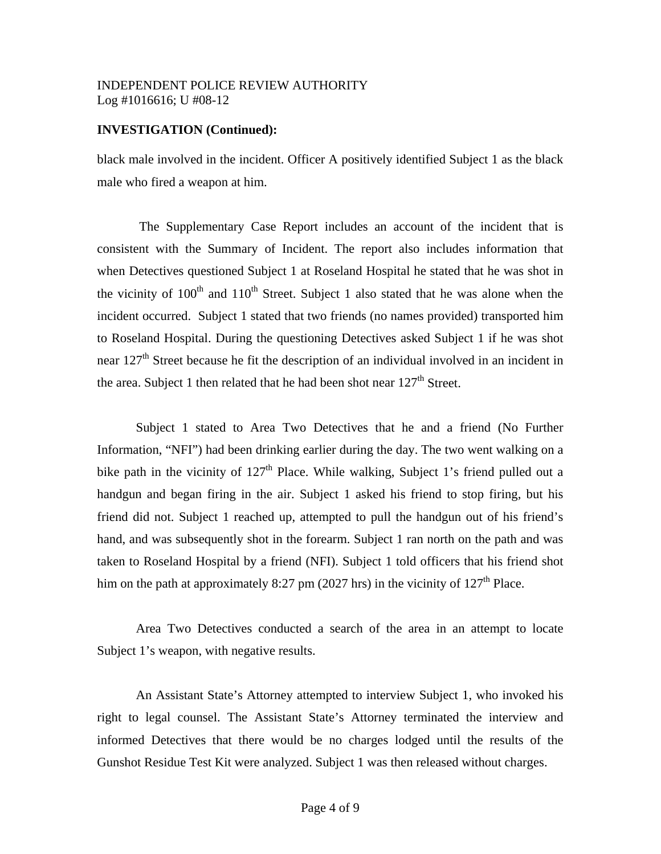### **INVESTIGATION (Continued):**

black male involved in the incident. Officer A positively identified Subject 1 as the black male who fired a weapon at him.

 The Supplementary Case Report includes an account of the incident that is consistent with the Summary of Incident. The report also includes information that when Detectives questioned Subject 1 at Roseland Hospital he stated that he was shot in the vicinity of  $100<sup>th</sup>$  and  $110<sup>th</sup>$  Street. Subject 1 also stated that he was alone when the incident occurred. Subject 1 stated that two friends (no names provided) transported him to Roseland Hospital. During the questioning Detectives asked Subject 1 if he was shot near 127<sup>th</sup> Street because he fit the description of an individual involved in an incident in the area. Subject 1 then related that he had been shot near  $127<sup>th</sup>$  Street.

Subject 1 stated to Area Two Detectives that he and a friend (No Further Information, "NFI") had been drinking earlier during the day. The two went walking on a bike path in the vicinity of  $127<sup>th</sup>$  Place. While walking, Subject 1's friend pulled out a handgun and began firing in the air. Subject 1 asked his friend to stop firing, but his friend did not. Subject 1 reached up, attempted to pull the handgun out of his friend's hand, and was subsequently shot in the forearm. Subject 1 ran north on the path and was taken to Roseland Hospital by a friend (NFI). Subject 1 told officers that his friend shot him on the path at approximately 8:27 pm (2027 hrs) in the vicinity of  $127<sup>th</sup>$  Place.

 Area Two Detectives conducted a search of the area in an attempt to locate Subject 1's weapon, with negative results.

An Assistant State's Attorney attempted to interview Subject 1, who invoked his right to legal counsel. The Assistant State's Attorney terminated the interview and informed Detectives that there would be no charges lodged until the results of the Gunshot Residue Test Kit were analyzed. Subject 1 was then released without charges.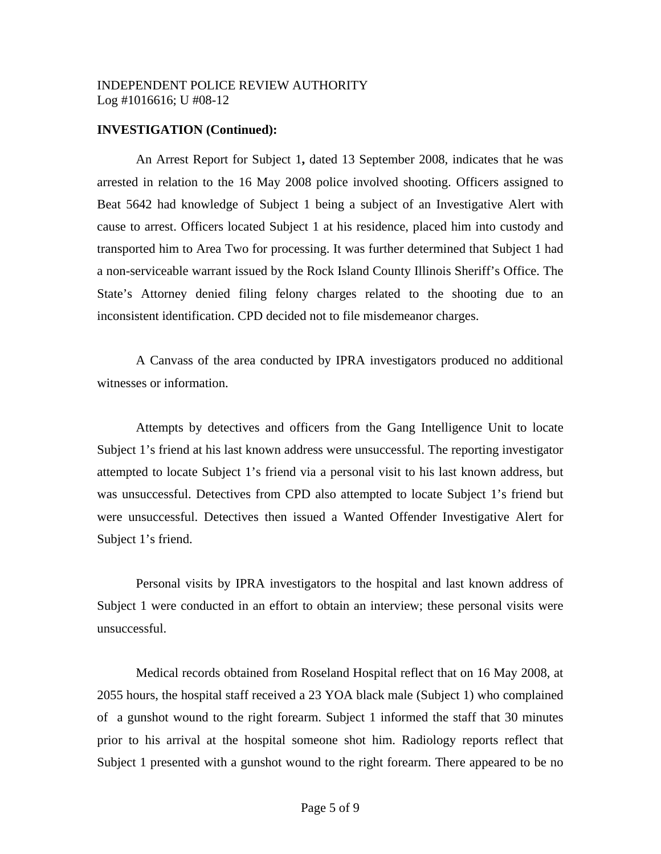#### **INVESTIGATION (Continued):**

An Arrest Report for Subject 1**,** dated 13 September 2008, indicates that he was arrested in relation to the 16 May 2008 police involved shooting. Officers assigned to Beat 5642 had knowledge of Subject 1 being a subject of an Investigative Alert with cause to arrest. Officers located Subject 1 at his residence, placed him into custody and transported him to Area Two for processing. It was further determined that Subject 1 had a non-serviceable warrant issued by the Rock Island County Illinois Sheriff's Office. The State's Attorney denied filing felony charges related to the shooting due to an inconsistent identification. CPD decided not to file misdemeanor charges.

A Canvass of the area conducted by IPRA investigators produced no additional witnesses or information.

Attempts by detectives and officers from the Gang Intelligence Unit to locate Subject 1's friend at his last known address were unsuccessful. The reporting investigator attempted to locate Subject 1's friend via a personal visit to his last known address, but was unsuccessful. Detectives from CPD also attempted to locate Subject 1's friend but were unsuccessful. Detectives then issued a Wanted Offender Investigative Alert for Subject 1's friend.

Personal visits by IPRA investigators to the hospital and last known address of Subject 1 were conducted in an effort to obtain an interview; these personal visits were unsuccessful.

Medical records obtained from Roseland Hospital reflect that on 16 May 2008, at 2055 hours, the hospital staff received a 23 YOA black male (Subject 1) who complained of a gunshot wound to the right forearm. Subject 1 informed the staff that 30 minutes prior to his arrival at the hospital someone shot him. Radiology reports reflect that Subject 1 presented with a gunshot wound to the right forearm. There appeared to be no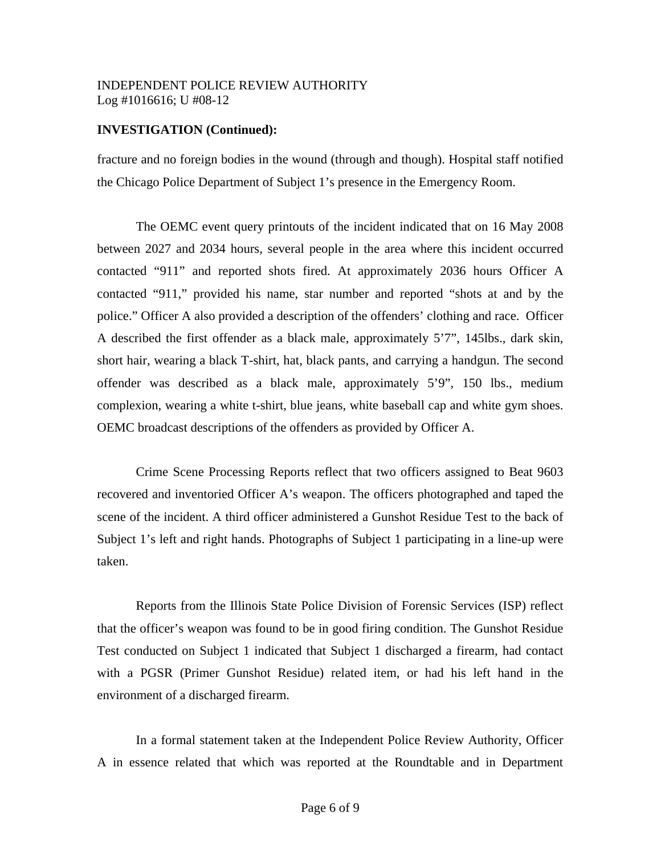### **INVESTIGATION (Continued):**

fracture and no foreign bodies in the wound (through and though). Hospital staff notified the Chicago Police Department of Subject 1's presence in the Emergency Room.

The OEMC event query printouts of the incident indicated that on 16 May 2008 between 2027 and 2034 hours, several people in the area where this incident occurred contacted "911" and reported shots fired. At approximately 2036 hours Officer A contacted "911," provided his name, star number and reported "shots at and by the police." Officer A also provided a description of the offenders' clothing and race. Officer A described the first offender as a black male, approximately 5'7", 145lbs., dark skin, short hair, wearing a black T-shirt, hat, black pants, and carrying a handgun. The second offender was described as a black male, approximately 5'9", 150 lbs., medium complexion, wearing a white t-shirt, blue jeans, white baseball cap and white gym shoes. OEMC broadcast descriptions of the offenders as provided by Officer A.

Crime Scene Processing Reports reflect that two officers assigned to Beat 9603 recovered and inventoried Officer A's weapon. The officers photographed and taped the scene of the incident. A third officer administered a Gunshot Residue Test to the back of Subject 1's left and right hands. Photographs of Subject 1 participating in a line-up were taken.

 Reports from the Illinois State Police Division of Forensic Services (ISP) reflect that the officer's weapon was found to be in good firing condition. The Gunshot Residue Test conducted on Subject 1 indicated that Subject 1 discharged a firearm, had contact with a PGSR (Primer Gunshot Residue) related item, or had his left hand in the environment of a discharged firearm.

In a formal statement taken at the Independent Police Review Authority, Officer A in essence related that which was reported at the Roundtable and in Department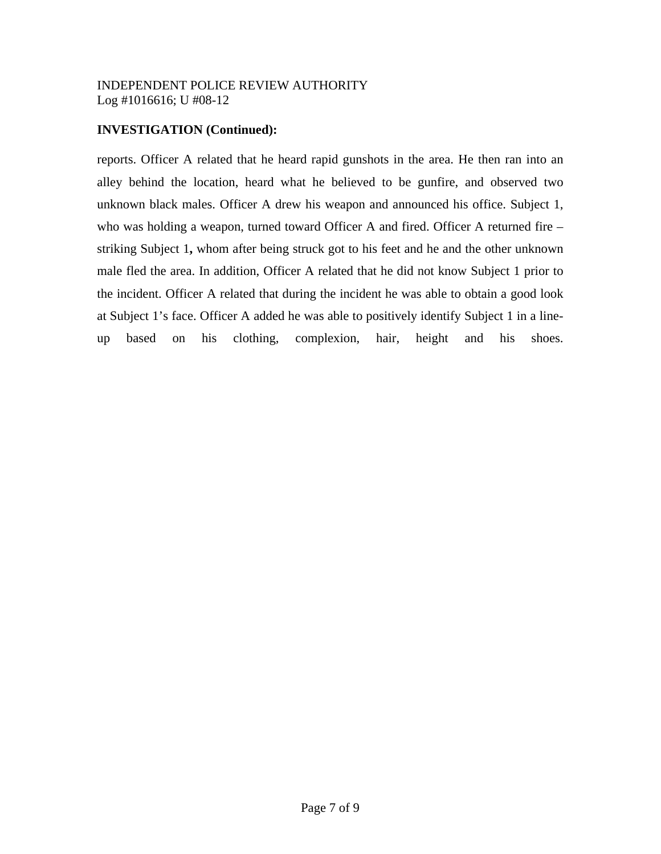### **INVESTIGATION (Continued):**

reports. Officer A related that he heard rapid gunshots in the area. He then ran into an alley behind the location, heard what he believed to be gunfire, and observed two unknown black males. Officer A drew his weapon and announced his office. Subject 1, who was holding a weapon, turned toward Officer A and fired. Officer A returned fire – striking Subject 1**,** whom after being struck got to his feet and he and the other unknown male fled the area. In addition, Officer A related that he did not know Subject 1 prior to the incident. Officer A related that during the incident he was able to obtain a good look at Subject 1's face. Officer A added he was able to positively identify Subject 1 in a lineup based on his clothing, complexion, hair, height and his shoes.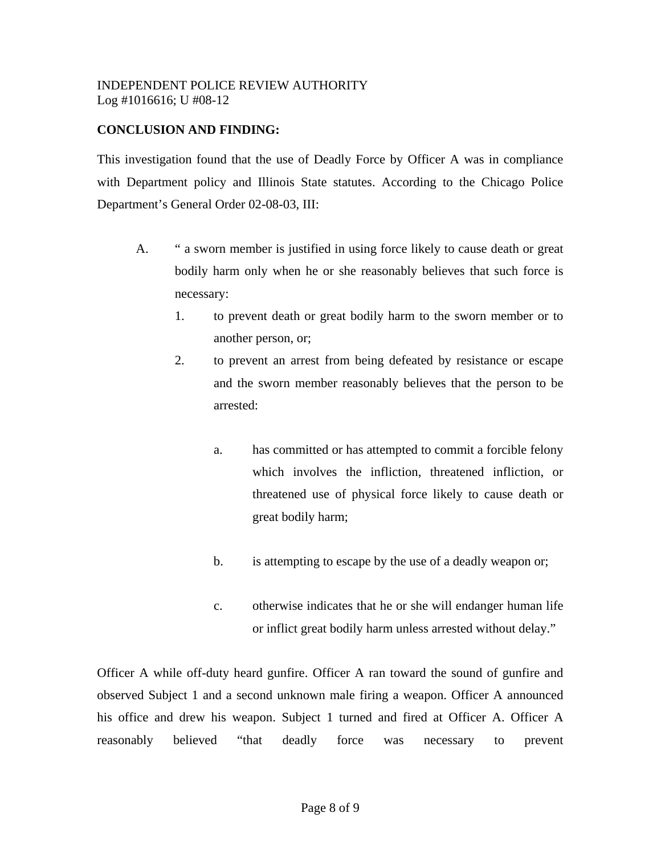## **CONCLUSION AND FINDING:**

This investigation found that the use of Deadly Force by Officer A was in compliance with Department policy and Illinois State statutes. According to the Chicago Police Department's General Order 02-08-03, III:

- A. " a sworn member is justified in using force likely to cause death or great bodily harm only when he or she reasonably believes that such force is necessary:
	- 1. to prevent death or great bodily harm to the sworn member or to another person, or;
	- 2. to prevent an arrest from being defeated by resistance or escape and the sworn member reasonably believes that the person to be arrested:
		- a. has committed or has attempted to commit a forcible felony which involves the infliction, threatened infliction, or threatened use of physical force likely to cause death or great bodily harm;
		- b. is attempting to escape by the use of a deadly weapon or;
		- c. otherwise indicates that he or she will endanger human life or inflict great bodily harm unless arrested without delay."

Officer A while off-duty heard gunfire. Officer A ran toward the sound of gunfire and observed Subject 1 and a second unknown male firing a weapon. Officer A announced his office and drew his weapon. Subject 1 turned and fired at Officer A. Officer A reasonably believed "that deadly force was necessary to prevent